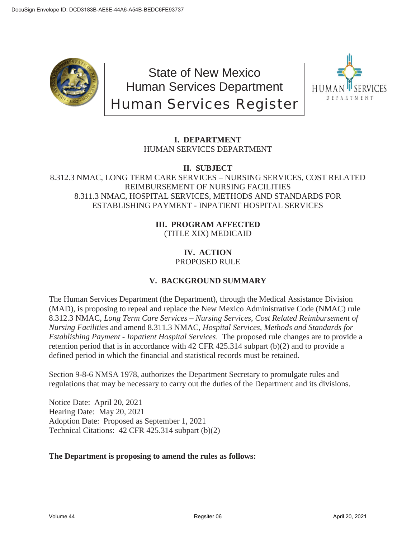

State of New Mexico Human Services Department Human Services Register



# **I. DEPARTMENT** HUMAN SERVICES DEPARTMENT

**II. SUBJECT**

## 8.312.3 NMAC, LONG TERM CARE SERVICES – NURSING SERVICES, COST RELATED REIMBURSEMENT OF NURSING FACILITIES 8.311.3 NMAC, HOSPITAL SERVICES, METHODS AND STANDARDS FOR ESTABLISHING PAYMENT - INPATIENT HOSPITAL SERVICES

## **III. PROGRAM AFFECTED** (TITLE XIX) MEDICAID

#### **IV. ACTION** PROPOSED RULE

# **V. BACKGROUND SUMMARY**

The Human Services Department (the Department), through the Medical Assistance Division (MAD), is proposing to repeal and replace the New Mexico Administrative Code (NMAC) rule 8.312.3 NMAC, *Long Term Care Services – Nursing Services, Cost Related Reimbursement of Nursing Facilities* and amend 8.311.3 NMAC, *Hospital Services, Methods and Standards for Establishing Payment - Inpatient Hospital Services*. The proposed rule changes are to provide a retention period that is in accordance with 42 CFR 425.314 subpart (b)(2) and to provide a defined period in which the financial and statistical records must be retained.

Section 9-8-6 NMSA 1978, authorizes the Department Secretary to promulgate rules and regulations that may be necessary to carry out the duties of the Department and its divisions.

Notice Date: April 20, 2021 Hearing Date: May 20, 2021 Adoption Date: Proposed as September 1, 2021 Technical Citations: 42 CFR 425.314 subpart (b)(2)

## **The Department is proposing to amend the rules as follows:**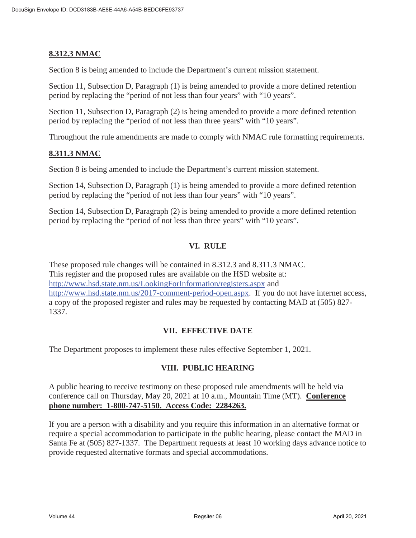## **8.312.3 NMAC**

Section 8 is being amended to include the Department's current mission statement.

Section 11, Subsection D, Paragraph (1) is being amended to provide a more defined retention period by replacing the "period of not less than four years" with "10 years".

Section 11, Subsection D, Paragraph (2) is being amended to provide a more defined retention period by replacing the "period of not less than three years" with "10 years".

Throughout the rule amendments are made to comply with NMAC rule formatting requirements.

## **8.311.3 NMAC**

Section 8 is being amended to include the Department's current mission statement.

Section 14, Subsection D, Paragraph (1) is being amended to provide a more defined retention period by replacing the "period of not less than four years" with "10 years".

Section 14, Subsection D, Paragraph (2) is being amended to provide a more defined retention period by replacing the "period of not less than three years" with "10 years".

## **VI. RULE**

These proposed rule changes will be contained in 8.312.3 and 8.311.3 NMAC. This register and the proposed rules are available on the HSD website at: http://www.hsd.state.nm.us/LookingForInformation/registers.aspx and http://www.hsd.state.nm.us/2017-comment-period-open.aspx. If you do not have internet access, a copy of the proposed register and rules may be requested by contacting MAD at (505) 827- 1337.

## **VII. EFFECTIVE DATE**

The Department proposes to implement these rules effective September 1, 2021.

#### **VIII. PUBLIC HEARING**

A public hearing to receive testimony on these proposed rule amendments will be held via conference call on Thursday, May 20, 2021 at 10 a.m., Mountain Time (MT). **Conference phone number: 1-800-747-5150. Access Code: 2284263.** 

If you are a person with a disability and you require this information in an alternative format or require a special accommodation to participate in the public hearing, please contact the MAD in Santa Fe at (505) 827-1337. The Department requests at least 10 working days advance notice to provide requested alternative formats and special accommodations.